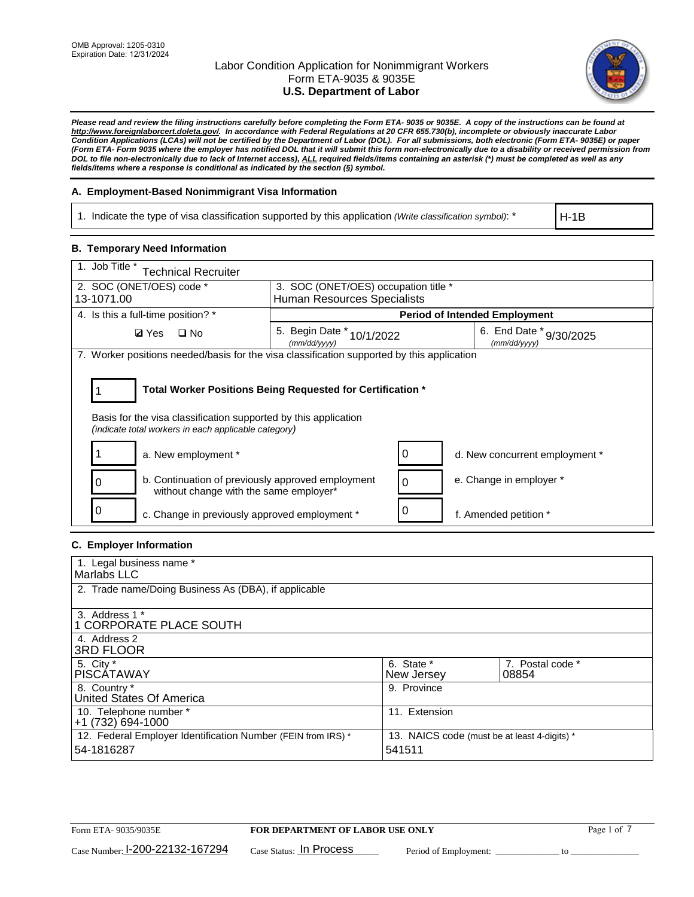

*Please read and review the filing instructions carefully before completing the Form ETA- 9035 or 9035E. A copy of the instructions can be found at http://www.foreignlaborcert.doleta.gov/. In accordance with Federal Regulations at 20 CFR 655.730(b), incomplete or obviously inaccurate Labor Condition Applications (LCAs) will not be certified by the Department of Labor (DOL). For all submissions, both electronic (Form ETA- 9035E) or paper (Form ETA- Form 9035 where the employer has notified DOL that it will submit this form non-electronically due to a disability or received permission from DOL to file non-electronically due to lack of Internet access), ALL required fields/items containing an asterisk (\*) must be completed as well as any fields/items where a response is conditional as indicated by the section (§) symbol.* 

## **A. Employment-Based Nonimmigrant Visa Information**

1. Indicate the type of visa classification supported by this application *(Write classification symbol)*: \*

H-1B

### **B. Temporary Need Information**

| 1. Job Title *<br>echnical Recruiter                                                                                                                                                  |                                           |                                      |                                         |  |  |  |
|---------------------------------------------------------------------------------------------------------------------------------------------------------------------------------------|-------------------------------------------|--------------------------------------|-----------------------------------------|--|--|--|
| 2. SOC (ONET/OES) code *                                                                                                                                                              |                                           | 3. SOC (ONET/OES) occupation title * |                                         |  |  |  |
| 13-1071.00                                                                                                                                                                            |                                           | <b>Human Resources Specialists</b>   |                                         |  |  |  |
| 4. Is this a full-time position? *                                                                                                                                                    |                                           |                                      | <b>Period of Intended Employment</b>    |  |  |  |
| $\Box$ No<br><b>Ø</b> Yes                                                                                                                                                             | 5. Begin Date * 10/1/2022<br>(mm/dd/yyyy) |                                      | 6. End Date * 9/30/2025<br>(mm/dd/vvvv) |  |  |  |
| 7. Worker positions needed/basis for the visa classification supported by this application                                                                                            |                                           |                                      |                                         |  |  |  |
| Total Worker Positions Being Requested for Certification *<br>Basis for the visa classification supported by this application<br>(indicate total workers in each applicable category) |                                           |                                      |                                         |  |  |  |
| a. New employment *                                                                                                                                                                   |                                           | 0                                    | d. New concurrent employment *          |  |  |  |
| b. Continuation of previously approved employment<br>without change with the same employer*                                                                                           |                                           | 0                                    | e. Change in employer *                 |  |  |  |
| c. Change in previously approved employment *                                                                                                                                         |                                           |                                      | f. Amended petition *                   |  |  |  |

## **C. Employer Information**

| 1. Legal business name *                                     |                                              |                  |
|--------------------------------------------------------------|----------------------------------------------|------------------|
| Marlabs LLC                                                  |                                              |                  |
|                                                              |                                              |                  |
| 2. Trade name/Doing Business As (DBA), if applicable         |                                              |                  |
|                                                              |                                              |                  |
| 3. Address 1 *                                               |                                              |                  |
| 1 CORPORATE PLACE SOUTH                                      |                                              |                  |
| 4. Address 2                                                 |                                              |                  |
| <b>3RD FLOOR</b>                                             |                                              |                  |
| 5. City *                                                    | 6. State *                                   | 7. Postal code * |
| PISCÁTAWAY                                                   | New Jersey                                   | 08854            |
| 8. Country *                                                 | 9. Province                                  |                  |
| United States Of America                                     |                                              |                  |
| 10. Telephone number *                                       | 11. Extension                                |                  |
| +1 (732) 694-1000                                            |                                              |                  |
| 12. Federal Employer Identification Number (FEIN from IRS) * | 13. NAICS code (must be at least 4-digits) * |                  |
| 54-1816287                                                   | 541511                                       |                  |
|                                                              |                                              |                  |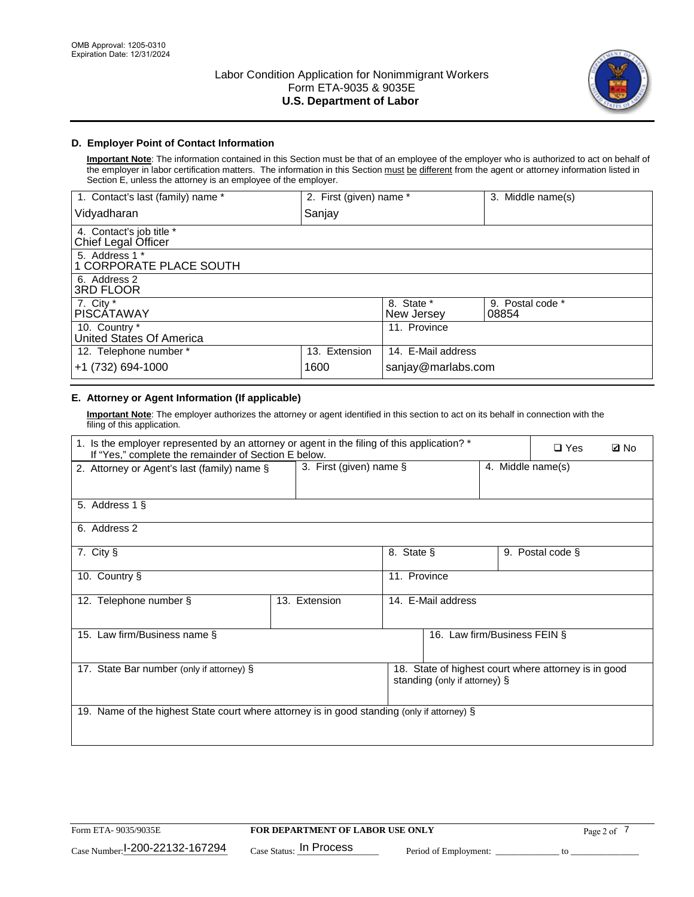

## **D. Employer Point of Contact Information**

**Important Note**: The information contained in this Section must be that of an employee of the employer who is authorized to act on behalf of the employer in labor certification matters. The information in this Section must be different from the agent or attorney information listed in Section E, unless the attorney is an employee of the employer.

| 1. Contact's last (family) name *               | 2. First (given) name * |                          | 3. Middle name(s)         |
|-------------------------------------------------|-------------------------|--------------------------|---------------------------|
| Vidyadharan                                     | Sanjay                  |                          |                           |
| 4. Contact's job title *<br>Chief Legal Officer |                         |                          |                           |
| 5. Address 1 *<br>1 CORPORATE PLACE SOUTH       |                         |                          |                           |
| 6. Address 2<br>3RD FLOOR                       |                         |                          |                           |
| 7. City $*$<br><b>PISCÁTAWAY</b>                |                         | 8. State *<br>New Jersey | 9. Postal code *<br>08854 |
| 10. Country *<br>United States Of America       |                         | 11. Province             |                           |
| 12. Telephone number *                          | 13. Extension           | 14. E-Mail address       |                           |
| +1 (732) 694-1000                               | 1600                    | sanjay@marlabs.com       |                           |

# **E. Attorney or Agent Information (If applicable)**

**Important Note**: The employer authorizes the attorney or agent identified in this section to act on its behalf in connection with the filing of this application.

| 1. Is the employer represented by an attorney or agent in the filing of this application? *<br>If "Yes," complete the remainder of Section E below. |                         |              |                               |                   |                                                      | <b>ØNo</b> |
|-----------------------------------------------------------------------------------------------------------------------------------------------------|-------------------------|--------------|-------------------------------|-------------------|------------------------------------------------------|------------|
| 2. Attorney or Agent's last (family) name §                                                                                                         | 3. First (given) name § |              |                               | 4. Middle name(s) |                                                      |            |
| 5. Address 1 §                                                                                                                                      |                         |              |                               |                   |                                                      |            |
| 6. Address 2                                                                                                                                        |                         |              |                               |                   |                                                      |            |
| 7. City §                                                                                                                                           |                         | 8. State §   |                               |                   | 9. Postal code §                                     |            |
| 10. Country §                                                                                                                                       |                         | 11. Province |                               |                   |                                                      |            |
| 12. Telephone number §                                                                                                                              | 13. Extension           |              | 14. E-Mail address            |                   |                                                      |            |
| 15. Law firm/Business name §                                                                                                                        |                         |              | 16. Law firm/Business FEIN §  |                   |                                                      |            |
| 17. State Bar number (only if attorney) §                                                                                                           |                         |              | standing (only if attorney) § |                   | 18. State of highest court where attorney is in good |            |
| 19. Name of the highest State court where attorney is in good standing (only if attorney) §                                                         |                         |              |                               |                   |                                                      |            |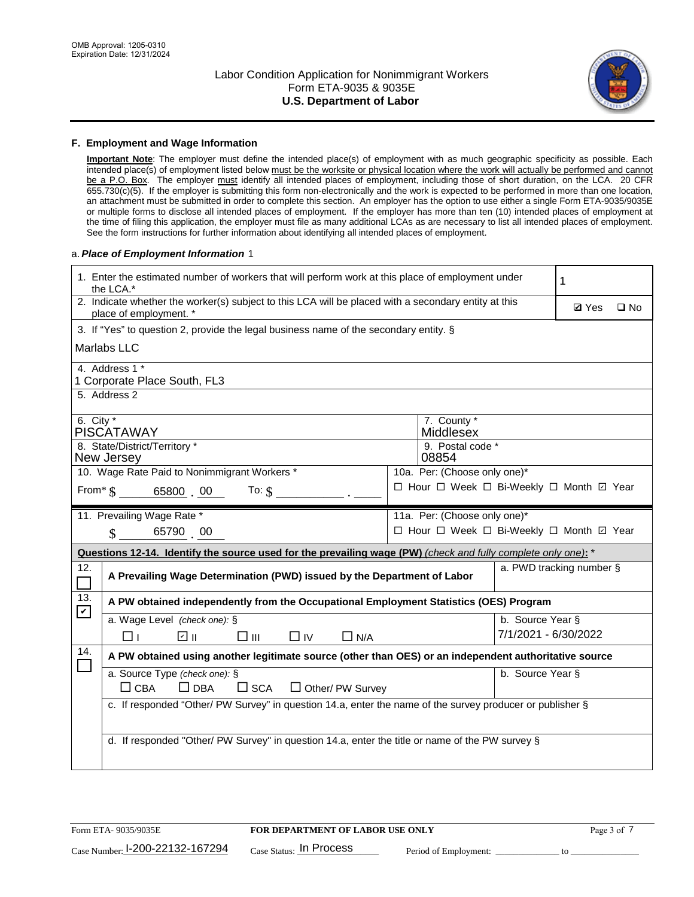

### **F. Employment and Wage Information**

**Important Note**: The employer must define the intended place(s) of employment with as much geographic specificity as possible. Each intended place(s) of employment listed below must be the worksite or physical location where the work will actually be performed and cannot be a P.O. Box. The employer must identify all intended places of employment, including those of short duration, on the LCA. 20 CFR 655.730(c)(5). If the employer is submitting this form non-electronically and the work is expected to be performed in more than one location, an attachment must be submitted in order to complete this section. An employer has the option to use either a single Form ETA-9035/9035E or multiple forms to disclose all intended places of employment. If the employer has more than ten (10) intended places of employment at the time of filing this application, the employer must file as many additional LCAs as are necessary to list all intended places of employment. See the form instructions for further information about identifying all intended places of employment.

### a.*Place of Employment Information* 1

|                                                                          | 1. Enter the estimated number of workers that will perform work at this place of employment under<br>the LCA.*                 |  |                                          |                      |                          |              |  |
|--------------------------------------------------------------------------|--------------------------------------------------------------------------------------------------------------------------------|--|------------------------------------------|----------------------|--------------------------|--------------|--|
|                                                                          | 2. Indicate whether the worker(s) subject to this LCA will be placed with a secondary entity at this<br>place of employment. * |  |                                          |                      | <b>Ø</b> Yes             | $\square$ No |  |
|                                                                          | 3. If "Yes" to question 2, provide the legal business name of the secondary entity. §                                          |  |                                          |                      |                          |              |  |
|                                                                          | Marlabs LLC                                                                                                                    |  |                                          |                      |                          |              |  |
|                                                                          | 4. Address 1 *                                                                                                                 |  |                                          |                      |                          |              |  |
|                                                                          | 1 Corporate Place South, FL3<br>5. Address 2                                                                                   |  |                                          |                      |                          |              |  |
|                                                                          |                                                                                                                                |  |                                          |                      |                          |              |  |
|                                                                          | 6. City $*$<br>7. County *<br>Middlesex<br><b>PISCATAWAY</b>                                                                   |  |                                          |                      |                          |              |  |
|                                                                          | 8. State/District/Territory *                                                                                                  |  | 9. Postal code *                         |                      |                          |              |  |
|                                                                          | New Jersey<br>08854<br>10. Wage Rate Paid to Nonimmigrant Workers *                                                            |  |                                          |                      |                          |              |  |
| 10a. Per: (Choose only one)*<br>□ Hour □ Week □ Bi-Weekly □ Month ☑ Year |                                                                                                                                |  |                                          |                      |                          |              |  |
|                                                                          | From * \$ 65800 00<br>To: $\oint$                                                                                              |  |                                          |                      |                          |              |  |
|                                                                          | 11. Prevailing Wage Rate *                                                                                                     |  | 11a. Per: (Choose only one)*             |                      |                          |              |  |
|                                                                          | 65790 00<br>$\mathbf{\hat{S}}$                                                                                                 |  | □ Hour □ Week □ Bi-Weekly □ Month ☑ Year |                      |                          |              |  |
|                                                                          | Questions 12-14. Identify the source used for the prevailing wage (PW) (check and fully complete only one): *                  |  |                                          |                      |                          |              |  |
| 12.                                                                      | A Prevailing Wage Determination (PWD) issued by the Department of Labor                                                        |  |                                          |                      | a. PWD tracking number § |              |  |
| 13.<br>$\mathbf v$                                                       | A PW obtained independently from the Occupational Employment Statistics (OES) Program                                          |  |                                          |                      |                          |              |  |
|                                                                          | a. Wage Level (check one): §                                                                                                   |  |                                          | b. Source Year §     |                          |              |  |
|                                                                          | பெ<br>$\square$ $\square$<br>$\Box$ IV<br>$\Box$ N/A<br>□⊥                                                                     |  |                                          | 7/1/2021 - 6/30/2022 |                          |              |  |
| 14.                                                                      | A PW obtained using another legitimate source (other than OES) or an independent authoritative source                          |  |                                          |                      |                          |              |  |
|                                                                          | a. Source Type (check one): §                                                                                                  |  |                                          | b. Source Year §     |                          |              |  |
|                                                                          | $\Box$ CBA<br>$\Box$ DBA<br>$\square$ SCA<br>$\Box$ Other/ PW Survey                                                           |  |                                          |                      |                          |              |  |
|                                                                          | c. If responded "Other/ PW Survey" in question 14.a, enter the name of the survey producer or publisher §                      |  |                                          |                      |                          |              |  |
|                                                                          |                                                                                                                                |  |                                          |                      |                          |              |  |
|                                                                          | d. If responded "Other/ PW Survey" in question 14.a, enter the title or name of the PW survey §                                |  |                                          |                      |                          |              |  |
|                                                                          |                                                                                                                                |  |                                          |                      |                          |              |  |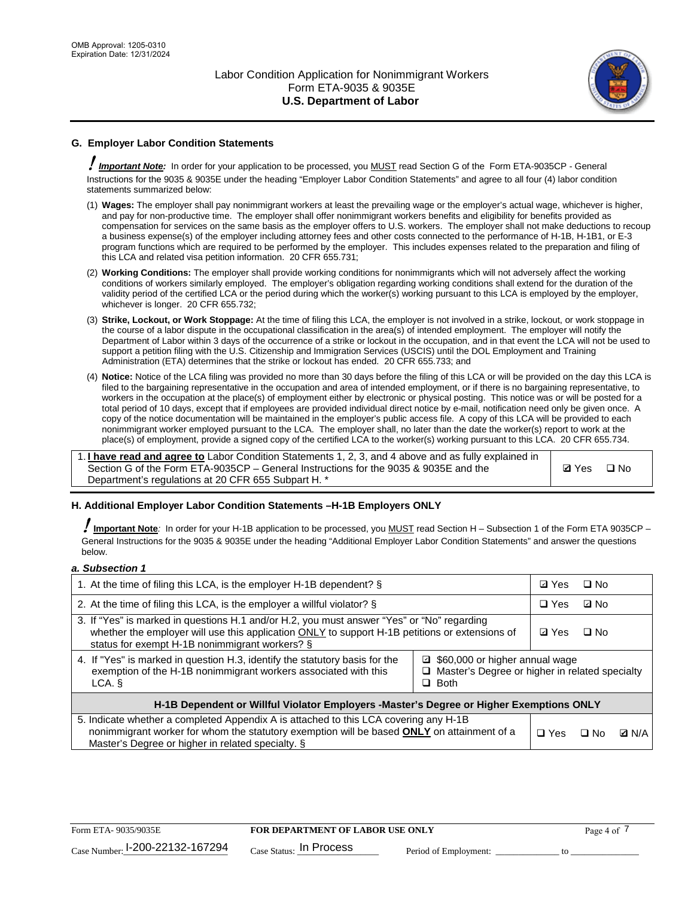

# **G. Employer Labor Condition Statements**

! *Important Note:* In order for your application to be processed, you MUST read Section G of the Form ETA-9035CP - General Instructions for the 9035 & 9035E under the heading "Employer Labor Condition Statements" and agree to all four (4) labor condition statements summarized below:

- (1) **Wages:** The employer shall pay nonimmigrant workers at least the prevailing wage or the employer's actual wage, whichever is higher, and pay for non-productive time. The employer shall offer nonimmigrant workers benefits and eligibility for benefits provided as compensation for services on the same basis as the employer offers to U.S. workers. The employer shall not make deductions to recoup a business expense(s) of the employer including attorney fees and other costs connected to the performance of H-1B, H-1B1, or E-3 program functions which are required to be performed by the employer. This includes expenses related to the preparation and filing of this LCA and related visa petition information. 20 CFR 655.731;
- (2) **Working Conditions:** The employer shall provide working conditions for nonimmigrants which will not adversely affect the working conditions of workers similarly employed. The employer's obligation regarding working conditions shall extend for the duration of the validity period of the certified LCA or the period during which the worker(s) working pursuant to this LCA is employed by the employer, whichever is longer. 20 CFR 655.732;
- (3) **Strike, Lockout, or Work Stoppage:** At the time of filing this LCA, the employer is not involved in a strike, lockout, or work stoppage in the course of a labor dispute in the occupational classification in the area(s) of intended employment. The employer will notify the Department of Labor within 3 days of the occurrence of a strike or lockout in the occupation, and in that event the LCA will not be used to support a petition filing with the U.S. Citizenship and Immigration Services (USCIS) until the DOL Employment and Training Administration (ETA) determines that the strike or lockout has ended. 20 CFR 655.733; and
- (4) **Notice:** Notice of the LCA filing was provided no more than 30 days before the filing of this LCA or will be provided on the day this LCA is filed to the bargaining representative in the occupation and area of intended employment, or if there is no bargaining representative, to workers in the occupation at the place(s) of employment either by electronic or physical posting. This notice was or will be posted for a total period of 10 days, except that if employees are provided individual direct notice by e-mail, notification need only be given once. A copy of the notice documentation will be maintained in the employer's public access file. A copy of this LCA will be provided to each nonimmigrant worker employed pursuant to the LCA. The employer shall, no later than the date the worker(s) report to work at the place(s) of employment, provide a signed copy of the certified LCA to the worker(s) working pursuant to this LCA. 20 CFR 655.734.

1. **I have read and agree to** Labor Condition Statements 1, 2, 3, and 4 above and as fully explained in Section G of the Form ETA-9035CP – General Instructions for the 9035 & 9035E and the Department's regulations at 20 CFR 655 Subpart H. \*

**Ø**Yes ロNo

### **H. Additional Employer Labor Condition Statements –H-1B Employers ONLY**

!**Important Note***:* In order for your H-1B application to be processed, you MUST read Section H – Subsection 1 of the Form ETA 9035CP – General Instructions for the 9035 & 9035E under the heading "Additional Employer Labor Condition Statements" and answer the questions below.

#### *a. Subsection 1*

| 1. At the time of filing this LCA, is the employer H-1B dependent? §                                                                                                                                                                                          | ⊡ Yes | $\square$ No |           |              |
|---------------------------------------------------------------------------------------------------------------------------------------------------------------------------------------------------------------------------------------------------------------|-------|--------------|-----------|--------------|
| 2. At the time of filing this LCA, is the employer a willful violator? $\S$                                                                                                                                                                                   |       | $\Box$ Yes   | ⊡ No      |              |
| 3. If "Yes" is marked in questions H.1 and/or H.2, you must answer "Yes" or "No" regarding<br>whether the employer will use this application ONLY to support H-1B petitions or extensions of<br>status for exempt H-1B nonimmigrant workers? §                |       |              | $\Box$ No |              |
| 4. If "Yes" is marked in question H.3, identify the statutory basis for the<br>■ \$60,000 or higher annual wage<br>exemption of the H-1B nonimmigrant workers associated with this<br>□ Master's Degree or higher in related specialty<br>$\Box$ Both<br>LCA. |       |              |           |              |
| H-1B Dependent or Willful Violator Employers -Master's Degree or Higher Exemptions ONLY                                                                                                                                                                       |       |              |           |              |
| 5. Indicate whether a completed Appendix A is attached to this LCA covering any H-1B<br>nonimmigrant worker for whom the statutory exemption will be based <b>ONLY</b> on attainment of a<br>Master's Degree or higher in related specialty. §                |       |              | ⊡ No      | <b>Q</b> N/A |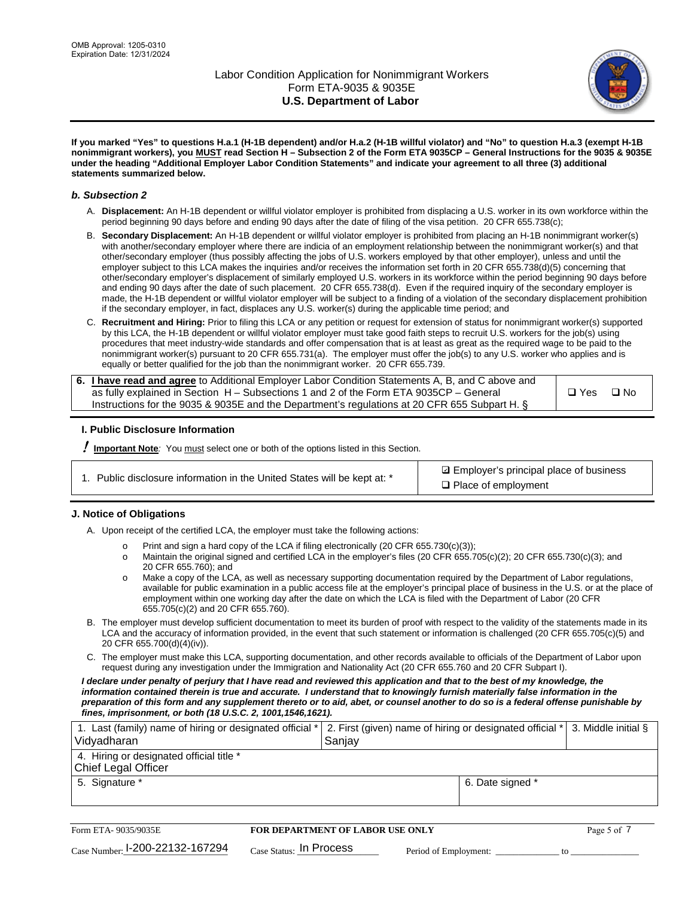

**If you marked "Yes" to questions H.a.1 (H-1B dependent) and/or H.a.2 (H-1B willful violator) and "No" to question H.a.3 (exempt H-1B nonimmigrant workers), you MUST read Section H – Subsection 2 of the Form ETA 9035CP – General Instructions for the 9035 & 9035E under the heading "Additional Employer Labor Condition Statements" and indicate your agreement to all three (3) additional statements summarized below.**

### *b. Subsection 2*

- A. **Displacement:** An H-1B dependent or willful violator employer is prohibited from displacing a U.S. worker in its own workforce within the period beginning 90 days before and ending 90 days after the date of filing of the visa petition. 20 CFR 655.738(c);
- B. **Secondary Displacement:** An H-1B dependent or willful violator employer is prohibited from placing an H-1B nonimmigrant worker(s) with another/secondary employer where there are indicia of an employment relationship between the nonimmigrant worker(s) and that other/secondary employer (thus possibly affecting the jobs of U.S. workers employed by that other employer), unless and until the employer subject to this LCA makes the inquiries and/or receives the information set forth in 20 CFR 655.738(d)(5) concerning that other/secondary employer's displacement of similarly employed U.S. workers in its workforce within the period beginning 90 days before and ending 90 days after the date of such placement. 20 CFR 655.738(d). Even if the required inquiry of the secondary employer is made, the H-1B dependent or willful violator employer will be subject to a finding of a violation of the secondary displacement prohibition if the secondary employer, in fact, displaces any U.S. worker(s) during the applicable time period; and
- C. **Recruitment and Hiring:** Prior to filing this LCA or any petition or request for extension of status for nonimmigrant worker(s) supported by this LCA, the H-1B dependent or willful violator employer must take good faith steps to recruit U.S. workers for the job(s) using procedures that meet industry-wide standards and offer compensation that is at least as great as the required wage to be paid to the nonimmigrant worker(s) pursuant to 20 CFR 655.731(a). The employer must offer the job(s) to any U.S. worker who applies and is equally or better qualified for the job than the nonimmigrant worker. 20 CFR 655.739.

| 6. I have read and agree to Additional Employer Labor Condition Statements A, B, and C above and |       |           |
|--------------------------------------------------------------------------------------------------|-------|-----------|
| as fully explained in Section H – Subsections 1 and 2 of the Form ETA 9035CP – General           | □ Yes | $\Box$ No |
| Instructions for the 9035 & 9035E and the Department's regulations at 20 CFR 655 Subpart H. §    |       |           |

### **I. Public Disclosure Information**

! **Important Note***:* You must select one or both of the options listed in this Section.

|  | 1. Public disclosure information in the United States will be kept at: * |  |  |  |
|--|--------------------------------------------------------------------------|--|--|--|
|  |                                                                          |  |  |  |

**sqrt** Employer's principal place of business □ Place of employment

### **J. Notice of Obligations**

A. Upon receipt of the certified LCA, the employer must take the following actions:

- o Print and sign a hard copy of the LCA if filing electronically (20 CFR 655.730(c)(3));<br>
Maintain the original signed and certified LCA in the employer's files (20 CFR 655.7
- Maintain the original signed and certified LCA in the employer's files (20 CFR 655.705(c)(2); 20 CFR 655.730(c)(3); and 20 CFR 655.760); and
- o Make a copy of the LCA, as well as necessary supporting documentation required by the Department of Labor regulations, available for public examination in a public access file at the employer's principal place of business in the U.S. or at the place of employment within one working day after the date on which the LCA is filed with the Department of Labor (20 CFR 655.705(c)(2) and 20 CFR 655.760).
- B. The employer must develop sufficient documentation to meet its burden of proof with respect to the validity of the statements made in its LCA and the accuracy of information provided, in the event that such statement or information is challenged (20 CFR 655.705(c)(5) and 20 CFR 655.700(d)(4)(iv)).
- C. The employer must make this LCA, supporting documentation, and other records available to officials of the Department of Labor upon request during any investigation under the Immigration and Nationality Act (20 CFR 655.760 and 20 CFR Subpart I).

*I declare under penalty of perjury that I have read and reviewed this application and that to the best of my knowledge, the*  information contained therein is true and accurate. I understand that to knowingly furnish materially false information in the *preparation of this form and any supplement thereto or to aid, abet, or counsel another to do so is a federal offense punishable by fines, imprisonment, or both (18 U.S.C. 2, 1001,1546,1621).*

| 1. Last (family) name of hiring or designated official *   2. First (given) name of hiring or designated official *   3. Middle initial §<br>Vidyadharan | Saniav           |  |
|----------------------------------------------------------------------------------------------------------------------------------------------------------|------------------|--|
| 4. Hiring or designated official title *<br>Chief Legal Officer                                                                                          |                  |  |
| 5. Signature *                                                                                                                                           | 6. Date signed * |  |

| Form ETA-9035/9035E                         | <b>FOR DEPARTMENT OF LABOR USE ONLY</b> |                       |  |
|---------------------------------------------|-----------------------------------------|-----------------------|--|
| $_{\text{Case Number:}}$ I-200-22132-167294 | $_{\rm Case~S status:}$ In Process      | Period of Employment: |  |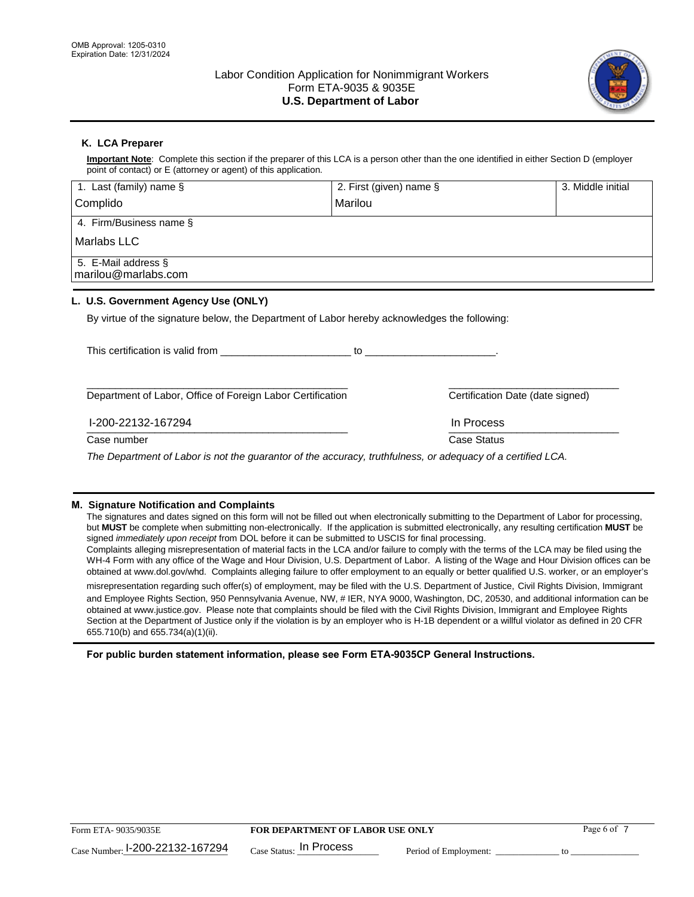

# **K. LCA Preparer**

**Important Note**: Complete this section if the preparer of this LCA is a person other than the one identified in either Section D (employer point of contact) or E (attorney or agent) of this application.

| 1. Last (family) name $\S$                                                                   | 2. First (given) name §          | 3. Middle initial |
|----------------------------------------------------------------------------------------------|----------------------------------|-------------------|
| Complido                                                                                     | Marilou                          |                   |
| 4. Firm/Business name §                                                                      |                                  |                   |
| l Marlabs LLC                                                                                |                                  |                   |
| 5. E-Mail address §<br>marilou@marlabs.com                                                   |                                  |                   |
| L. U.S. Government Agency Use (ONLY)                                                         |                                  |                   |
| By virtue of the signature below, the Department of Labor hereby acknowledges the following: |                                  |                   |
| This certification is valid from This certification                                          |                                  |                   |
| Department of Labor, Office of Foreign Labor Certification                                   | Certification Date (date signed) |                   |

Case number **Case Status** Case Status **Case Status** 

I-200-22132-167294 In Process

*The Department of Labor is not the guarantor of the accuracy, truthfulness, or adequacy of a certified LCA.*

 $\frac{1111100688}{1111100688}$ 

#### **M. Signature Notification and Complaints**

The signatures and dates signed on this form will not be filled out when electronically submitting to the Department of Labor for processing, but **MUST** be complete when submitting non-electronically. If the application is submitted electronically, any resulting certification **MUST** be signed *immediately upon receipt* from DOL before it can be submitted to USCIS for final processing.

Complaints alleging misrepresentation of material facts in the LCA and/or failure to comply with the terms of the LCA may be filed using the WH-4 Form with any office of the Wage and Hour Division, U.S. Department of Labor. A listing of the Wage and Hour Division offices can be obtained at www.dol.gov/whd. Complaints alleging failure to offer employment to an equally or better qualified U.S. worker, or an employer's

misrepresentation regarding such offer(s) of employment, may be filed with the U.S. Department of Justice, Civil Rights Division, Immigrant and Employee Rights Section, 950 Pennsylvania Avenue, NW, # IER, NYA 9000, Washington, DC, 20530, and additional information can be obtained at www.justice.gov. Please note that complaints should be filed with the Civil Rights Division, Immigrant and Employee Rights Section at the Department of Justice only if the violation is by an employer who is H-1B dependent or a willful violator as defined in 20 CFR 655.710(b) and 655.734(a)(1)(ii).

**For public burden statement information, please see Form ETA-9035CP General Instructions.**

| Form ETA-9035/9035E             | <b>FOR DEPARTMENT OF LABOR USE ONLY</b> | Page 6 of             |  |
|---------------------------------|-----------------------------------------|-----------------------|--|
| Case Number: 1-200-22132-167294 | $_{\text{Case Status:}}$ In Process     | Period of Employment: |  |